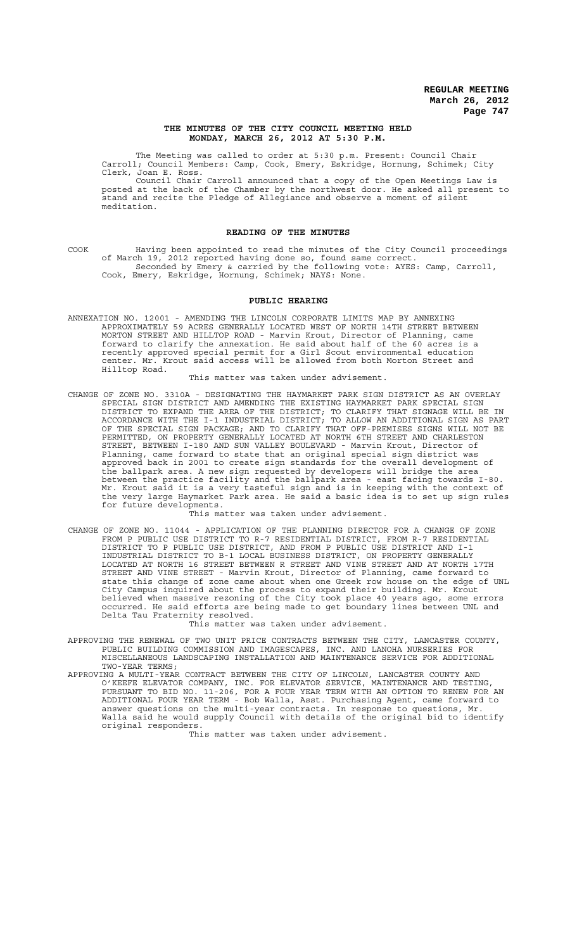#### **THE MINUTES OF THE CITY COUNCIL MEETING HELD MONDAY, MARCH 26, 2012 AT 5:30 P.M.**

The Meeting was called to order at 5:30 p.m. Present: Council Chair Carroll; Council Members: Camp, Cook, Emery, Eskridge, Hornung, Schimek; City Clerk, Joan E. Ross.

Council Chair Carroll announced that a copy of the Open Meetings Law is posted at the back of the Chamber by the northwest door. He asked all present to stand and recite the Pledge of Allegiance and observe a moment of silent meditation.

#### **READING OF THE MINUTES**

COOK Having been appointed to read the minutes of the City Council proceedings of March 19, 2012 reported having done so, found same correct. Seconded by Emery & carried by the following vote: AYES: Camp, Carroll, Cook, Emery, Eskridge, Hornung, Schimek; NAYS: None.

# **PUBLIC HEARING**

ANNEXATION NO. 12001 - AMENDING THE LINCOLN CORPORATE LIMITS MAP BY ANNEXING APPROXIMATELY 59 ACRES GENERALLY LOCATED WEST OF NORTH 14TH STREET BETWEEN MORTON STREET AND HILLTOP ROAD - Marvin Krout, Director of Planning, came forward to clarify the annexation. He said about half of the 60 acres is a recently approved special permit for a Girl Scout environmental education center. Mr. Krout said access will be allowed from both Morton Street and Hilltop Road.

This matter was taken under advisement.

CHANGE OF ZONE NO. 3310A - DESIGNATING THE HAYMARKET PARK SIGN DISTRICT AS AN OVERLAY SPECIAL SIGN DISTRICT AND AMENDING THE EXISTING HAYMARKET PARK SPECIAL SIGN DISTRICT TO EXPAND THE AREA OF THE DISTRICT; TO CLARIFY THAT SIGNAGE WILL BE IN ACCORDANCE WITH THE I-1 INDUSTRIAL DISTRICT; TO ALLOW AN ADDITIONAL SIGN AS PART OF THE SPECIAL SIGN PACKAGE; AND TO CLARIFY THAT OFF-PREMISES SIGNS WILL NOT BE PERMITTED, ON PROPERTY GENERALLY LOCATED AT NORTH 6TH STREET AND CHARLESTON STREET, BETWEEN I-180 AND SUN VALLEY BOULEVARD - Marvin Krout, Director of Planning, came forward to state that an original special sign district was approved back in 2001 to create sign standards for the overall development of the ballpark area. A new sign requested by developers will bridge the area between the practice facility and the ballpark area - east facing towards I-80. Mr. Krout said it is a very tasteful sign and is in keeping with the context of the very large Haymarket Park area. He said a basic idea is to set up sign rules for future developments.

This matter was taken under advisement.

CHANGE OF ZONE NO. 11044 - APPLICATION OF THE PLANNING DIRECTOR FOR A CHANGE OF ZONE FROM P PUBLIC USE DISTRICT TO R-7 RESIDENTIAL DISTRICT, FROM R-7 RESIDENTIAL DISTRICT TO P PUBLIC USE DISTRICT, AND FROM P PUBLIC USE DISTRICT AND I-1 INDUSTRIAL DISTRICT TO B-1 LOCAL BUSINESS DISTRICT, ON PROPERTY GENERALLY LOCATED AT NORTH 16 STREET BETWEEN R STREET AND VINE STREET AND AT NORTH 17TH STREET AND VINE STREET - Marvin Krout, Director of Planning, came forward to state this change of zone came about when one Greek row house on the edge of UNL City Campus inquired about the process to expand their building. Mr. Krout believed when massive rezoning of the City took place 40 years ago, some errors occurred. He said efforts are being made to get boundary lines between UNL and Delta Tau Fraternity resolved.

This matter was taken under advisement.

- APPROVING THE RENEWAL OF TWO UNIT PRICE CONTRACTS BETWEEN THE CITY, LANCASTER COUNTY, PUBLIC BUILDING COMMISSION AND IMAGESCAPES, INC. AND LANOHA NURSERIES FOR MISCELLANEOUS LANDSCAPING INSTALLATION AND MAINTENANCE SERVICE FOR ADDITIONAL TWO-YEAR TERMS;
- APPROVING A MULTI-YEAR CONTRACT BETWEEN THE CITY OF LINCOLN, LANCASTER COUNTY AND O'KEEFE ELEVATOR COMPANY, INC. FOR ELEVATOR SERVICE, MAINTENANCE AND TESTING, PURSUANT TO BID NO. 11-206, FOR A FOUR YEAR TERM WITH AN OPTION TO RENEW FOR AN ADDITIONAL FOUR YEAR TERM - Bob Walla, Asst. Purchasing Agent, came forward to answer questions on the multi-year contracts. In response to questions, Mr. Walla said he would supply Council with details of the original bid to identify original responders.

This matter was taken under advisement.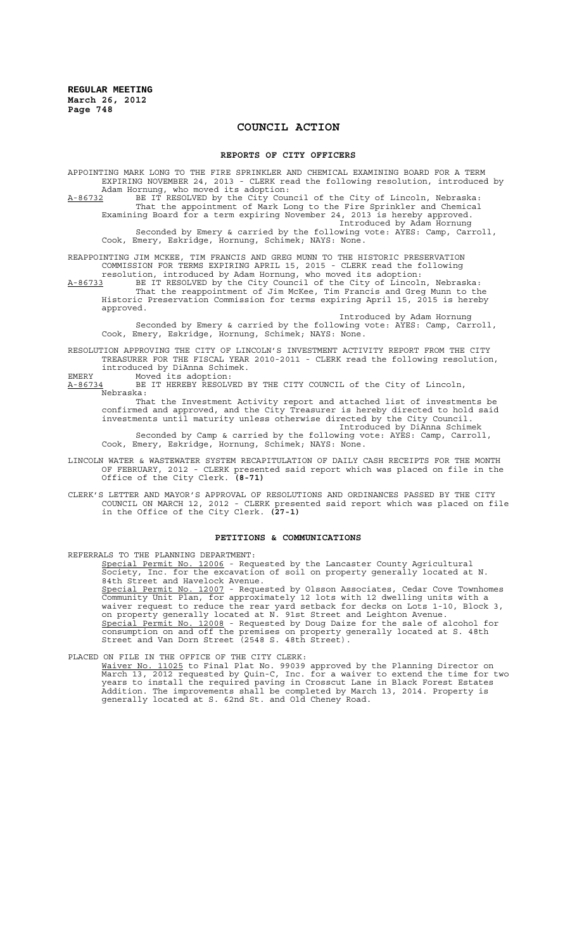# **COUNCIL ACTION**

#### **REPORTS OF CITY OFFICERS**

APPOINTING MARK LONG TO THE FIRE SPRINKLER AND CHEMICAL EXAMINING BOARD FOR A TERM EXPIRING NOVEMBER 24, 2013 - CLERK read the following resolution, introduced by<br>Adam Hornung, who moved its adoption: Adam Hornung, who moved its adoption:<br>A-86732 BE IT RESOLVED by the City Cour

A-86732 BE IT RESOLVED by the City Council of the City of Lincoln, Nebraska: That the appointment of Mark Long to the Fire Sprinkler and Chemical Examining Board for a term expiring November 24, 2013 is hereby approved.

Introduced by Adam Hornung

Seconded by Emery & carried by the following vote: AYES: Camp, Carroll, Cook, Emery, Eskridge, Hornung, Schimek; NAYS: None.

REAPPOINTING JIM MCKEE, TIM FRANCIS AND GREG MUNN TO THE HISTORIC PRESERVATION COMMISSION FOR TERMS EXPIRING APRIL 15, 2015 - CLERK read the following resolution, introduced by Adam Hornung, who moved its adoption:

A-86733 BE IT RESOLVED by the City Council of the City of Lincoln, Nebraska: That the reappointment of Jim McKee, Tim Francis and Greg Munn to the Historic Preservation Commission for terms expiring April 15, 2015 is hereby approved.

Introduced by Adam Hornung Seconded by Emery & carried by the following vote: AYES: Camp, Carroll, Cook, Emery, Eskridge, Hornung, Schimek; NAYS: None.

RESOLUTION APPROVING THE CITY OF LINCOLN'S INVESTMENT ACTIVITY REPORT FROM THE CITY TREASURER FOR THE FISCAL YEAR 2010-2011 - CLERK read the following resolution, introduced by DiAnna Schimek.

EMERY Moved its adoption:

A-86734 BE IT HEREBY RESOLVED BY THE CITY COUNCIL of the City of Lincoln, Nebraska:

That the Investment Activity report and attached list of investments be confirmed and approved, and the City Treasurer is hereby directed to hold said investments until maturity unless otherwise directed by the City Council. Introduced by DiAnna Schimek

Seconded by Camp & carried by the following vote: AYES: Camp, Carroll, Cook, Emery, Eskridge, Hornung, Schimek; NAYS: None.

- LINCOLN WATER & WASTEWATER SYSTEM RECAPITULATION OF DAILY CASH RECEIPTS FOR THE MONTH OF FEBRUARY, 2012 - CLERK presented said report which was placed on file in the Office of the City Clerk. **(8-71)**
- CLERK'S LETTER AND MAYOR'S APPROVAL OF RESOLUTIONS AND ORDINANCES PASSED BY THE CITY COUNCIL ON MARCH 12, 2012 - CLERK presented said report which was placed on file in the Office of the City Clerk. **(27-1)**

## **PETITIONS & COMMUNICATIONS**

REFERRALS TO THE PLANNING DEPARTMENT:

Special Permit No. 12006 - Requested by the Lancaster County Agricultural Society, Inc. for the excavation of soil on property generally located at N. 84th Street and Havelock Avenue.<br>Special Permit No. 12007 - Reque - Requested by Olsson Associates, Cedar Cove Townhomes Community Unit Plan, for approximately 12 lots with 12 dwelling units with a waiver request to reduce the rear yard setback for decks on Lots 1-10, Block 3, on property generally located at N. 91st Street and Leighton Avenue. Special Permit No. 12008 - Requested by Doug Daize for the sale of alcohol for consumption on and off the premises on property generally located at S. 48th Street and Van Dorn Street (2548 S. 48th Street).

PLACED ON FILE IN THE OFFICE OF THE CITY CLERK:

Waiver No. 11025 to Final Plat No. 99039 approved by the Planning Director on March 13, 2012 requested by Quin-C, Inc. for a waiver to extend the time for two years to install the required paving in Crosscut Lane in Black Forest Estates Addition. The improvements shall be completed by March 13, 2014. Property is generally located at S. 62nd St. and Old Cheney Road.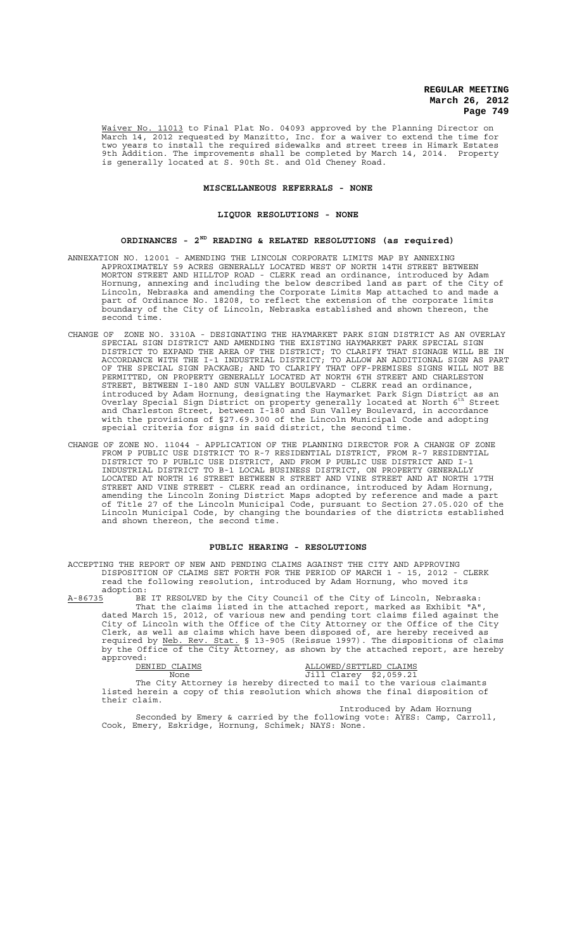Waiver No. 11013 to Final Plat No. 04093 approved by the Planning Director on March 14, 2012 requested by Manzitto, Inc. for a waiver to extend the time for two years to install the required sidewalks and street trees in Himark Estates 9th Addition. The improvements shall be completed by March 14, 2014. Property is generally located at S. 90th St. and Old Cheney Road.

## **MISCELLANEOUS REFERRALS - NONE**

# **LIQUOR RESOLUTIONS - NONE**

# **ORDINANCES - 2ND READING & RELATED RESOLUTIONS (as required)**

- ANNEXATION NO. 12001 AMENDING THE LINCOLN CORPORATE LIMITS MAP BY ANNEXING APPROXIMATELY 59 ACRES GENERALLY LOCATED WEST OF NORTH 14TH STREET BETWEEN MORTON STREET AND HILLTOP ROAD - CLERK read an ordinance, introduced by Adam Hornung, annexing and including the below described land as part of the City of Lincoln, Nebraska and amending the Corporate Limits Map attached to and made a part of Ordinance No. 18208, to reflect the extension of the corporate limits boundary of the City of Lincoln, Nebraska established and shown thereon, the second time.
- CHANGE OF ZONE NO. 3310A DESIGNATING THE HAYMARKET PARK SIGN DISTRICT AS AN OVERLAY SPECIAL SIGN DISTRICT AND AMENDING THE EXISTING HAYMARKET PARK SPECIAL SIGN DISTRICT TO EXPAND THE AREA OF THE DISTRICT; TO CLARIFY THAT SIGNAGE WILL BE IN ACCORDANCE WITH THE I-1 INDUSTRIAL DISTRICT; TO ALLOW AN ADDITIONAL SIGN AS PART OF THE SPECIAL SIGN PACKAGE; AND TO CLARIFY THAT OFF-PREMISES SIGNS WILL NOT BE PERMITTED, ON PROPERTY GENERALLY LOCATED AT NORTH 6TH STREET AND CHARLESTON STREET, BETWEEN I-180 AND SUN VALLEY BOULEVARD - CLERK read an ordinance, introduced by Adam Hornung, designating the Haymarket Park Sign District as an Overlay Special Sign District on property generally located at North 6th Street and Charleston Street, between I-180 and Sun Valley Boulevard, in accordance with the provisions of §27.69.300 of the Lincoln Municipal Code and adopting special criteria for signs in said district, the second time.
- CHANGE OF ZONE NO. 11044 APPLICATION OF THE PLANNING DIRECTOR FOR A CHANGE OF ZONE FROM P PUBLIC USE DISTRICT TO R-7 RESIDENTIAL DISTRICT, FROM R-7 RESIDENTIAL DISTRICT TO P PUBLIC USE DISTRICT, AND FROM P PUBLIC USE DISTRICT AND I-1 INDUSTRIAL DISTRICT TO B-1 LOCAL BUSINESS DISTRICT, ON PROPERTY GENERALLY LOCATED AT NORTH 16 STREET BETWEEN R STREET AND VINE STREET AND AT NORTH 17TH STREET AND VINE STREET - CLERK read an ordinance, introduced by Adam Hornung, amending the Lincoln Zoning District Maps adopted by reference and made a part of Title 27 of the Lincoln Municipal Code, pursuant to Section 27.05.020 of the Lincoln Municipal Code, by changing the boundaries of the districts established and shown thereon, the second time.

#### **PUBLIC HEARING - RESOLUTIONS**

ACCEPTING THE REPORT OF NEW AND PENDING CLAIMS AGAINST THE CITY AND APPROVING DISPOSITION OF CLAIMS SET FORTH FOR THE PERIOD OF MARCH 1 - 15, 2012 - CLERK read the following resolution, introduced by Adam Hornung, who moved its adoption:

A-86735 BE IT RESOLVED by the City Council of the City of Lincoln, Nebraska: That the claims listed in the attached report, marked as Exhibit "A", dated March 15, 2012, of various new and pending tort claims filed against the City of Lincoln with the Office of the City Attorney or the Office of the City Clerk, as well as claims which have been disposed of, are hereby received as required by Neb. Rev. Stat. § 13-905 (Reissue 1997). The dispositions of claims by the Office of the City Attorney, as shown by the attached report, are hereby approved:

DENIED CLAIMS CONTROL CONTROL ALLOWED SETTLED CLAIMS

None Jill Clarey \$2,059.21 The City Attorney is hereby directed to mail to the various claimants listed herein a copy of this resolution which shows the final disposition of their claim.

Introduced by Adam Hornung Seconded by Emery & carried by the following vote: AYES: Camp, Carroll, Cook, Emery, Eskridge, Hornung, Schimek; NAYS: None.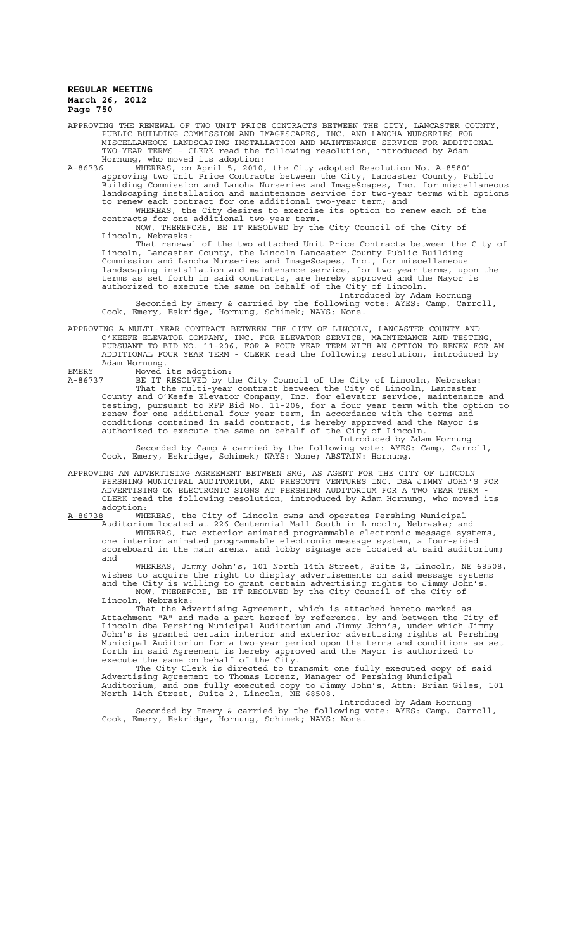APPROVING THE RENEWAL OF TWO UNIT PRICE CONTRACTS BETWEEN THE CITY, LANCASTER COUNTY, PUBLIC BUILDING COMMISSION AND IMAGESCAPES, INC. AND LANOHA NURSERIES FOR MISCELLANEOUS LANDSCAPING INSTALLATION AND MAINTENANCE SERVICE FOR ADDITIONAL TWO-YEAR TERMS - CLERK read the following resolution, introduced by Adam Hornung, who moved its adoption:<br>A-86736 WHEREAS, on April 5, 2010,

,, will moved for an pressive.<br>WHEREAS, on April 5, 2010, the City adopted Resolution No. A-85801 approving two Unit Price Contracts between the City, Lancaster County, Public Building Commission and Lanoha Nurseries and ImageScapes, Inc. for miscellaneous landscaping installation and maintenance service for two-year terms with options to renew each contract for one additional two-year term; and

WHEREAS, the City desires to exercise its option to renew each of the contracts for one additional two-year term.

NOW, THEREFORE, BE IT RESOLVED by the City Council of the City of Lincoln, Nebraska:

That renewal of the two attached Unit Price Contracts between the City of Lincoln, Lancaster County, the Lincoln Lancaster County Public Building Commission and Lanoha Nurseries and ImageScapes, Inc., for miscellaneous landscaping installation and maintenance service, for two-year terms, upon the terms as set forth in said contracts, are hereby approved and the Mayor is authorized to execute the same on behalf of the City of Lincoln. Introduced by Adam Hornung

Seconded by Emery & carried by the following vote: AYES: Camp, Carroll, Cook, Emery, Eskridge, Hornung, Schimek; NAYS: None.

APPROVING A MULTI-YEAR CONTRACT BETWEEN THE CITY OF LINCOLN, LANCASTER COUNTY AND O'KEEFE ELEVATOR COMPANY, INC. FOR ELEVATOR SERVICE, MAINTENANCE AND TESTING, PURSUANT TO BID NO. 11-206, FOR A FOUR YEAR TERM WITH AN OPTION TO RENEW FOR AN ADDITIONAL FOUR YEAR TERM - CLERK read the following resolution, introduced by Adam Hornung. EMERY Moved its adoption:

A-86737 BE IT RESOLVED by the City Council of the City of Lincoln, Nebraska: That the multi-year contract between the City of Lincoln, Lancaster County and O'Keefe Elevator Company, Inc. for elevator service, maintenance and testing, pursuant to RFP Bid No. 11-206, for a four year term with the option to renew for one additional four year term, in accordance with the terms and conditions contained in said contract, is hereby approved and the Mayor is authorized to execute the same on behalf of the City of Lincoln.

Introduced by Adam Hornung Seconded by Camp & carried by the following vote: AYES: Camp, Carroll, Cook, Emery, Eskridge, Schimek; NAYS: None; ABSTAIN: Hornung.

APPROVING AN ADVERTISING AGREEMENT BETWEEN SMG, AS AGENT FOR THE CITY OF LINCOLN PERSHING MUNICIPAL AUDITORIUM, AND PRESCOTT VENTURES INC. DBA JIMMY JOHN'S FOR ADVERTISING ON ELECTRONIC SIGNS AT PERSHING AUDITORIUM FOR A TWO YEAR TERM - CLERK read the following resolution, introduced by Adam Hornung, who moved its adoption:<br>A-86738 WH

WHEREAS, the City of Lincoln owns and operates Pershing Municipal Auditorium located at 226 Centennial Mall South in Lincoln, Nebraska; and

WHEREAS, two exterior animated programmable electronic message systems, one interior animated programmable electronic message system, a four-sided scoreboard in the main arena, and lobby signage are located at said auditorium; and

WHEREAS, Jimmy John's, 101 North 14th Street, Suite 2, Lincoln, NE 68508, wishes to acquire the right to display advertisements on said message systems and the City is willing to grant certain advertising rights to Jimmy John's. NOW, THEREFORE, BE IT RESOLVED by the City Council of the City of Lincoln, Nebraska:

That the Advertising Agreement, which is attached hereto marked as Attachment "A" and made a part hereof by reference, by and between the City of Lincoln dba Pershing Municipal Auditorium and Jimmy John's, under which Jimmy John's is granted certain interior and exterior advertising rights at Pershing Municipal Auditorium for a two-year period upon the terms and conditions as set forth in said Agreement is hereby approved and the Mayor is authorized to execute the same on behalf of the City.

The City Clerk is directed to transmit one fully executed copy of said Advertising Agreement to Thomas Lorenz, Manager of Pershing Municipal Auditorium, and one fully executed copy to Jimmy John's, Attn: Brian Giles, 101 North 14th Street, Suite 2, Lincoln, NE 68508.

Introduced by Adam Hornung Seconded by Emery & carried by the following vote: AYES: Camp, Carroll, Cook, Emery, Eskridge, Hornung, Schimek; NAYS: None.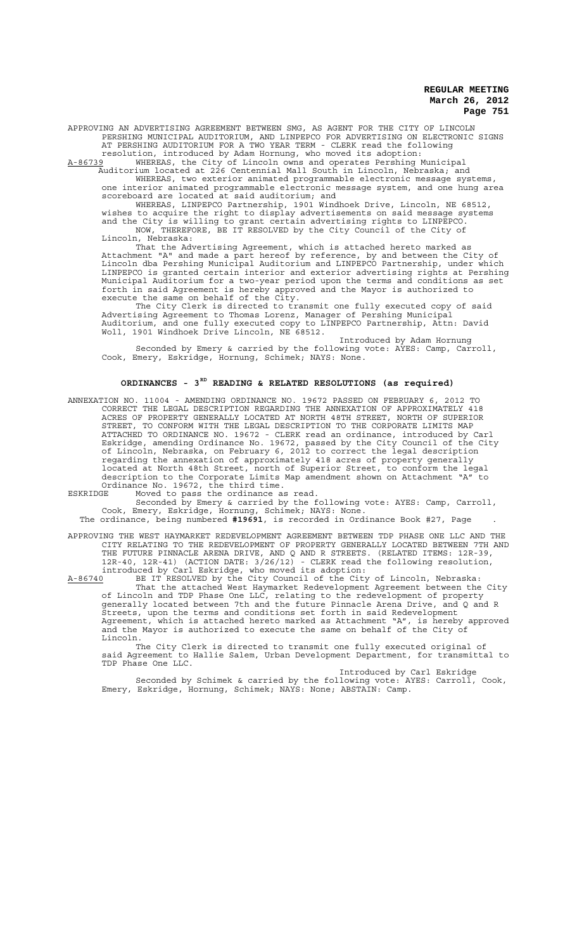APPROVING AN ADVERTISING AGREEMENT BETWEEN SMG, AS AGENT FOR THE CITY OF LINCOLN PERSHING MUNICIPAL AUDITORIUM, AND LINPEPCO FOR ADVERTISING ON ELECTRONIC SIGNS AT PERSHING AUDITORIUM FOR A TWO YEAR TERM - CLERK read the following resolution, introduced by Adam Hornung, who moved its adoption:

A-86739 WHEREAS, the City of Lincoln owns and operates Pershing Municipal

 Auditorium located at 226 Centennial Mall South in Lincoln, Nebraska; and WHEREAS, two exterior animated programmable electronic message systems, one interior animated programmable electronic message system, and one hung area scoreboard are located at said auditorium; and

WHEREAS, LINPEPCO Partnership, 1901 Windhoek Drive, Lincoln, NE 68512, wishes to acquire the right to display advertisements on said message systems and the City is willing to grant certain advertising rights to LINPEPCO.

NOW, THEREFORE, BE IT RESOLVED by the City Council of the City of Lincoln, Nebraska:

That the Advertising Agreement, which is attached hereto marked as Attachment "A" and made a part hereof by reference, by and between the City of Lincoln dba Pershing Municipal Auditorium and LINPEPCO Partnership, under which LINPEPCO is granted certain interior and exterior advertising rights at Pershing Municipal Auditorium for a two-year period upon the terms and conditions as set forth in said Agreement is hereby approved and the Mayor is authorized to execute the same on behalf of the City.

The City Clerk is directed to transmit one fully executed copy of said Advertising Agreement to Thomas Lorenz, Manager of Pershing Municipal Auditorium, and one fully executed copy to LINPEPCO Partnership, Attn: David Woll, 1901 Windhoek Drive Lincoln, NE 68512.

Introduced by Adam Hornung Seconded by Emery & carried by the following vote: AYES: Camp, Carroll, Cook, Emery, Eskridge, Hornung, Schimek; NAYS: None.

## **ORDINANCES - 3RD READING & RELATED RESOLUTIONS (as required)**

ANNEXATION NO. 11004 - AMENDING ORDINANCE NO. 19672 PASSED ON FEBRUARY 6, 2012 TO CORRECT THE LEGAL DESCRIPTION REGARDING THE ANNEXATION OF APPROXIMATELY 418 ACRES OF PROPERTY GENERALLY LOCATED AT NORTH 48TH STREET, NORTH OF SUPERIOR STREET, TO CONFORM WITH THE LEGAL DESCRIPTION TO THE CORPORATE LIMITS MAP ATTACHED TO ORDINANCE NO. 19672 - CLERK read an ordinance, introduced by Carl Eskridge, amending Ordinance No. 19672, passed by the City Council of the City of Lincoln, Nebraska, on February 6, 2012 to correct the legal description regarding the annexation of approximately 418 acres of property generally located at North 48th Street, north of Superior Street, to conform the legal description to the Corporate Limits Map amendment shown on Attachment "A" to Ordinance No. 19672, the third time.

ESKRIDGE Moved to pass the ordinance as read.

Seconded by Emery & carried by the following vote: AYES: Camp, Carroll, Cook, Emery, Eskridge, Hornung, Schimek; NAYS: None.

The ordinance, being numbered **#19691**, is recorded in Ordinance Book #27, Page .

APPROVING THE WEST HAYMARKET REDEVELOPMENT AGREEMENT BETWEEN TDP PHASE ONE LLC AND THE<br>CITY RELATING TO THE REDEVELOPMENT OF PROPERTY GENERALLY LOCATED BETWEEN 7TH AND CITY RELATING TO THE REDEVELOPMENT OF PROPERTY GENERALLY LOCATED BETWEEN 7TH AND THE FUTURE PINNACLE ARENA DRIVE, AND Q AND R STREETS. (RELATED ITEMS: 12R-39, 12R-40, 12R-41) (ACTION DATE: 3/26/12) - CLERK read the following resolution, introduced by Carl Eskridge, who moved its adoption:

A-86740 BE IT RESOLVED by the City Council of the City of Lincoln, Nebraska: That the attached West Haymarket Redevelopment Agreement between the City of Lincoln and TDP Phase One LLC, relating to the redevelopment of property generally located between 7th and the future Pinnacle Arena Drive, and Q and R Streets, upon the terms and conditions set forth in said Redevelopment Agreement, which is attached hereto marked as Attachment "A", is hereby approved and the Mayor is authorized to execute the same on behalf of the City of Lincoln.

The City Clerk is directed to transmit one fully executed original of said Agreement to Hallie Salem, Urban Development Department, for transmittal to TDP Phase One LLC.

Introduced by Carl Eskridge Seconded by Schimek & carried by the following vote: AYES: Carroll, Cook, Emery, Eskridge, Hornung, Schimek; NAYS: None; ABSTAIN: Camp.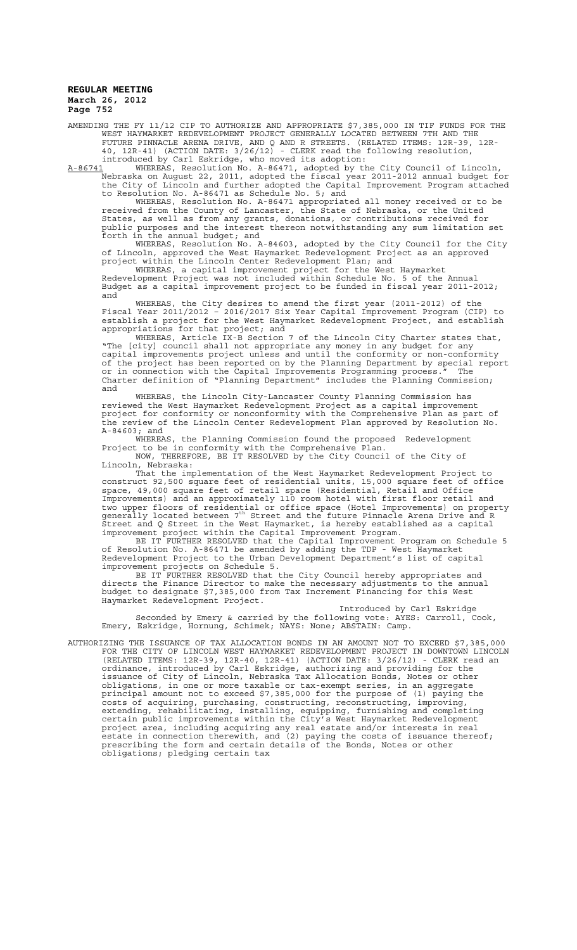AMENDING THE FY 11/12 CIP TO AUTHORIZE AND APPROPRIATE \$7,385,000 IN TIF FUNDS FOR THE WEST HAYMARKET REDEVELOPMENT PROJECT GENERALLY LOCATED BETWEEN 7TH AND THE FUTURE PINNACLE ARENA DRIVE, AND Q AND R STREETS. (RELATED ITEMS: 12R-39, 12R-40, 12R-41) (ACTION DATE: 3/26/12) - CLERK read the following resolution, introduced by Carl Eskridge, who moved its adoption:

A-86741 WHEREAS, Resolution No. A-86471, adopted by the City Council of Lincoln, Nebraska on August 22, 2011, adopted the fiscal year 2011-2012 annual budget for the City of Lincoln and further adopted the Capital Improvement Program attached to Resolution No. A-86471 as Schedule No. 5; and

WHEREAS, Resolution No. A-86471 appropriated all money received or to be received from the County of Lancaster, the State of Nebraska, or the United States, as well as from any grants, donations, or contributions received for public purposes and the interest thereon notwithstanding any sum limitation set forth in the annual budget; and

WHEREAS, Resolution No. A-84603, adopted by the City Council for the City of Lincoln, approved the West Haymarket Redevelopment Project as an approved project within the Lincoln Center Redevelopment Plan; and

WHEREAS, a capital improvement project for the West Haymarket Redevelopment Project was not included within Schedule No. 5 of the Annual Budget as a capital improvement project to be funded in fiscal year 2011-2012; and

WHEREAS, the City desires to amend the first year (2011-2012) of the Fiscal Year 2011/2012 – 2016/2017 Six Year Capital Improvement Program (CIP) to establish a project for the West Haymarket Redevelopment Project, and establish appropriations for that project; and

WHEREAS, Article IX-B Section 7 of the Lincoln City Charter states that, "The [city] council shall not appropriate any money in any budget for any capital improvements project unless and until the conformity or non-conformity of the project has been reported on by the Planning Department by special report or in connection with the Capital Improvements Programming process." The Charter definition of "Planning Department" includes the Planning Commission; and

WHEREAS, the Lincoln City-Lancaster County Planning Commission has reviewed the West Haymarket Redevelopment Project as a capital improvement project for conformity or nonconformity with the Comprehensive Plan as part of the review of the Lincoln Center Redevelopment Plan approved by Resolution No. A-84603; and

WHEREAS, the Planning Commission found the proposed Redevelopment Project to be in conformity with the Comprehensive Plan. NOW, THEREFORE, BE IT RESOLVED by the City Council of the City of

Lincoln, Nebraska: That the implementation of the West Haymarket Redevelopment Project to

construct 92,500 square feet of residential units, 15,000 square feet of office space, 49,000 square feet of retail space (Residential, Retail and Office Improvements) and an approximately 110 room hotel with first floor retail and two upper floors of residential or office space (Hotel Improvements) on property<br>generally located between 7<sup>th</sup> Street and the future Pinnacle Arena Drive and R Street and Q Street in the West Haymarket, is hereby established as a capital improvement project within the Capital Improvement Program.

BE IT FURTHER RESOLVED that the Capital Improvement Program on Schedule 5 of Resolution No. A-86471 be amended by adding the TDP - West Haymarket Redevelopment Project to the Urban Development Department's list of capital improvement projects on Schedule 5.

BE IT FURTHER RESOLVED that the City Council hereby appropriates and directs the Finance Director to make the necessary adjustments to the annual budget to designate \$7,385,000 from Tax Increment Financing for this West Haymarket Redevelopment Project.

Introduced by Carl Eskridge Seconded by Emery & carried by the following vote: AYES: Carroll, Cook, Emery, Eskridge, Hornung, Schimek; NAYS: None; ABSTAIN: Camp.

AUTHORIZING THE ISSUANCE OF TAX ALLOCATION BONDS IN AN AMOUNT NOT TO EXCEED \$7,385,000 FOR THE CITY OF LINCOLN WEST HAYMARKET REDEVELOPMENT PROJECT IN DOWNTOWN LINCOLN (RELATED ITEMS: 12R-39, 12R-40, 12R-41) (ACTION DATE: 3/26/12) - CLERK read an ordinance, introduced by Carl Eskridge, authorizing and providing for the issuance of City of Lincoln, Nebraska Tax Allocation Bonds, Notes or other obligations, in one or more taxable or tax-exempt series, in an aggregate principal amount not to exceed \$7,385,000 for the purpose of (1) paying the costs of acquiring, purchasing, constructing, reconstructing, improving, extending, rehabilitating, installing, equipping, furnishing and completing certain public improvements within the City's West Haymarket Redevelopment project area, including acquiring any real estate and/or interests in real estate in connection therewith, and (2) paying the costs of issuance thereof; prescribing the form and certain details of the Bonds, Notes or other obligations; pledging certain tax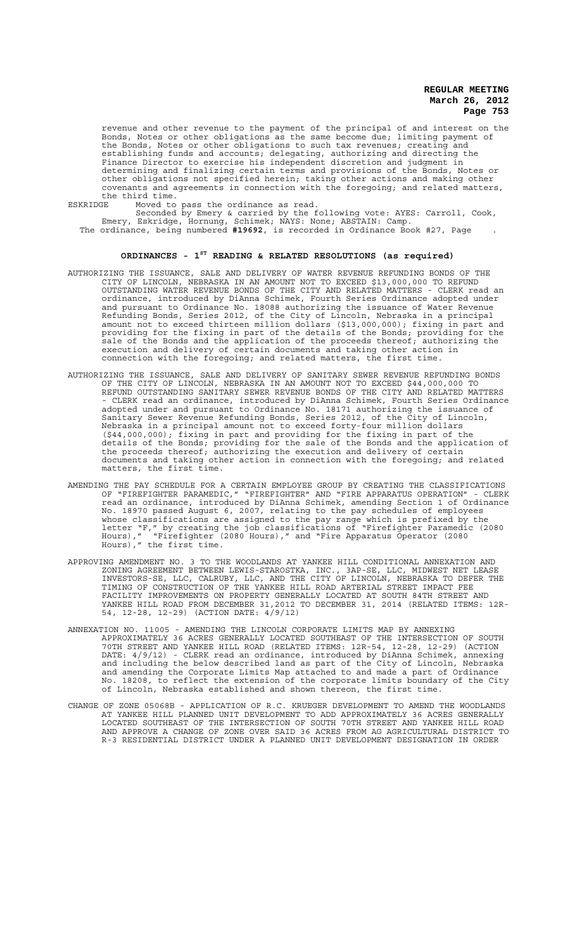revenue and other revenue to the payment of the principal of and interest on the Bonds, Notes or other obligations as the same become due; limiting payment of the Bonds, Notes or other obligations to such tax revenues; creating and establishing funds and accounts; delegating, authorizing and directing the Finance Director to exercise his independent discretion and judgment in determining and finalizing certain terms and provisions of the Bonds, Notes or other obligations not specified herein; taking other actions and making other covenants and agreements in connection with the foregoing; and related matters, the third time.<br>ESKRIDGE Moved to

ESKRIDGE Moved to pass the ordinance as read.

Seconded by Emery & carried by the following vote: AYES: Carroll, Cook, Emery, Eskridge, Hornung, Schimek; NAYS: None; ABSTAIN: Camp. The ordinance, being numbered **#19692**, is recorded in Ordinance Book #27, Page .

# **ORDINANCES - 1ST READING & RELATED RESOLUTIONS (as required)**

- AUTHORIZING THE ISSUANCE, SALE AND DELIVERY OF WATER REVENUE REFUNDING BONDS OF THE CITY OF LINCOLN, NEBRASKA IN AN AMOUNT NOT TO EXCEED \$13,000,000 TO REFUND OUTSTANDING WATER REVENUE BONDS OF THE CITY AND RELATED MATTERS - CLERK read an ordinance, introduced by DiAnna Schimek, Fourth Series Ordinance adopted under and pursuant to Ordinance No. 18088 authorizing the issuance of Water Revenue Refunding Bonds, Series 2012, of the City of Lincoln, Nebraska in a principal amount not to exceed thirteen million dollars (\$13,000,000); fixing in part and providing for the fixing in part of the details of the Bonds; providing for the sale of the Bonds and the application of the proceeds thereof; authorizing the execution and delivery of certain documents and taking other action in connection with the foregoing; and related matters, the first time.
- AUTHORIZING THE ISSUANCE, SALE AND DELIVERY OF SANITARY SEWER REVENUE REFUNDING BONDS OF THE CITY OF LINCOLN, NEBRASKA IN AN AMOUNT NOT TO EXCEED \$44,000,000 TO REFUND OUTSTANDING SANITARY SEWER REVENUE BONDS OF THE CITY AND RELATED MATTERS - CLERK read an ordinance, introduced by DiAnna Schimek, Fourth Series Ordinance adopted under and pursuant to Ordinance No. 18171 authorizing the issuance of Sanitary Sewer Revenue Refunding Bonds, Series 2012, of the City of Lincoln, Nebraska in a principal amount not to exceed forty-four million dollars (\$44,000,000); fixing in part and providing for the fixing in part of the details of the Bonds; providing for the sale of the Bonds and the application of the proceeds thereof; authorizing the execution and delivery of certain documents and taking other action in connection with the foregoing; and related matters, the first time.
- AMENDING THE PAY SCHEDULE FOR A CERTAIN EMPLOYEE GROUP BY CREATING THE CLASSIFICATIONS<br>OF "FIREFIGHTER PARAMEDIC," "FIREFIGHTER" AND "FIRE APPARATUS OPERATION" CLERK OF "FIREFIGHTER PARAMEDIC," "FIREFIGHTER" AND "FIRE APPARATUS OPERATION" - CLERK read an ordinance, introduced by DiAnna Schimek, amending Section 1 of Ordinance No. 18970 passed August 6, 2007, relating to the pay schedules of employees whose classifications are assigned to the pay range which is prefixed by the letter "F," by creating the job classifications of "Firefighter Paramedic (2080 Hours)," "Firefighter (2080 Hours)," and "Fire Apparatus Operator (2080 Hours)," the first time.
- APPROVING AMENDMENT NO. 3 TO THE WOODLANDS AT YANKEE HILL CONDITIONAL ANNEXATION AND ZONING AGREEMENT BETWEEN LEWIS-STAROSTKA, INC., 3AP-SE, LLC, MIDWEST NET LEASE INVESTORS-SE, LLC, CALRUBY, LLC, AND THE CITY OF LINCOLN, NEBRASKA TO DEFER THE TIMING OF CONSTRUCTION OF THE YANKEE HILL ROAD ARTERIAL STREET IMPACT FEE FACILITY IMPROVEMENTS ON PROPERTY GENERALLY LOCATED AT SOUTH 84TH STREET AND YANKEE HILL ROAD FROM DECEMBER 31,2012 TO DECEMBER 31, 2014 (RELATED ITEMS: 12R-54, 12-28, 12-29) (ACTION DATE: 4/9/12)
- ANNEXATION NO. 11005 AMENDING THE LINCOLN CORPORATE LIMITS MAP BY ANNEXING APPROXIMATELY 36 ACRES GENERALLY LOCATED SOUTHEAST OF THE INTERSECTION OF SOUTH 70TH STREET AND YANKEE HILL ROAD (RELATED ITEMS: 12R-54, 12-28, 12-29) (ACTION DATE: 4/9/12) - CLERK read an ordinance, introduced by DiAnna Schimek, annexing and including the below described land as part of the City of Lincoln, Nebraska and amending the Corporate Limits Map attached to and made a part of Ordinance No. 18208, to reflect the extension of the corporate limits boundary of the City of Lincoln, Nebraska established and shown thereon, the first time.
- CHANGE OF ZONE 05068B APPLICATION OF R.C. KRUEGER DEVELOPMENT TO AMEND THE WOODLANDS AT YANKEE HILL PLANNED UNIT DEVELOPMENT TO ADD APPROXIMATELY 36 ACRES GENERALLY LOCATED SOUTHEAST OF THE INTERSECTION OF SOUTH 70TH STREET AND YANKEE HILL ROAD AND APPROVE A CHANGE OF ZONE OVER SAID 36 ACRES FROM AG AGRICULTURAL DISTRICT TO R-3 RESIDENTIAL DISTRICT UNDER A PLANNED UNIT DEVELOPMENT DESIGNATION IN ORDER